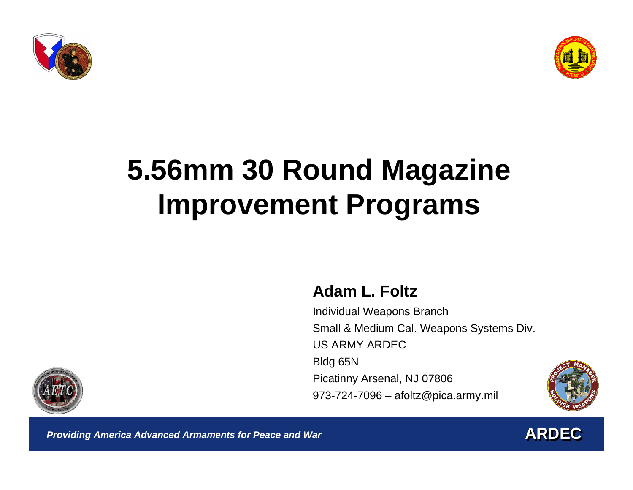



# **5.56mm 30 Round Magazine Improvement Programs**

#### **Adam L. Foltz**

Individual Weapons Branch Small & Medium Cal. Weapons Systems Div. US ARMY ARDEC Bldg 65N Picatinny Arsenal, NJ 07806 973-724-7096 – afoltz@pica.army.mil





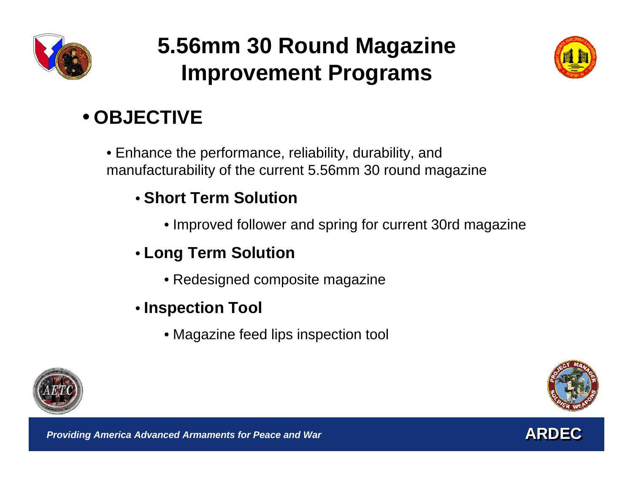

### **5.56mm 30 Round Magazine Improvement Programs**



### • **OBJECTIVE**

• Enhance the performance, reliability, durability, and manufacturability of the current 5.56mm 30 round magazine

#### • **Short Term Solution**

• Improved follower and spring for current 30rd magazine

### • **Long Term Solution**

- Redesigned composite magazine
- **Inspection Tool** 
	- Magazine feed lips inspection tool



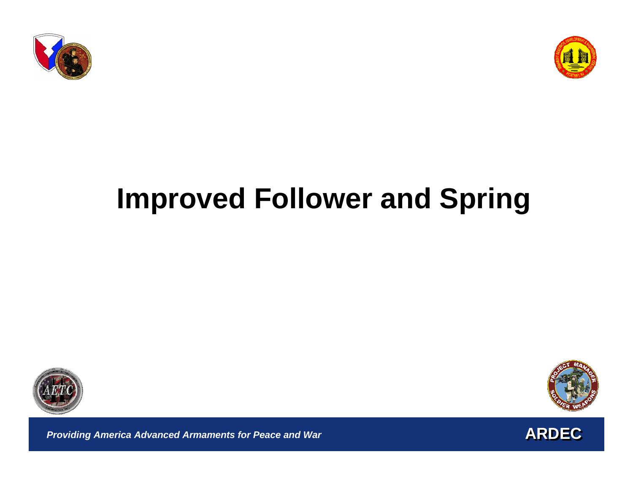



# **Improved Follower and Spring**





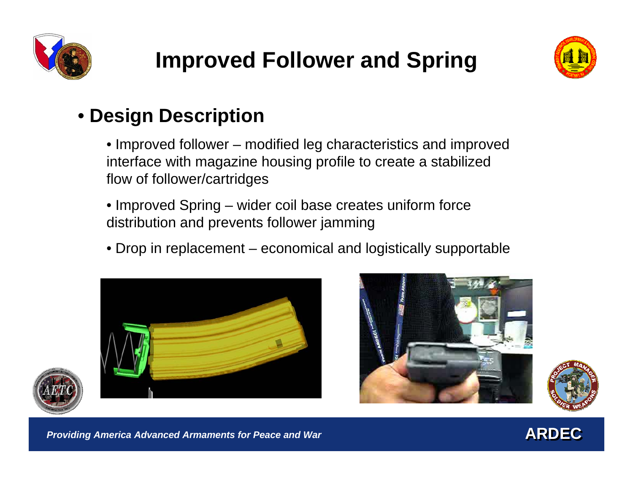



### • **Design Description**

• Improved follower – modified leg characteristics and improved interface with magazine housing profile to create a stabilized flow of follower/cartridges

- Improved Spring wider coil base creates uniform force distribution and prevents follower jamming
- Drop in replacement economical and logistically supportable







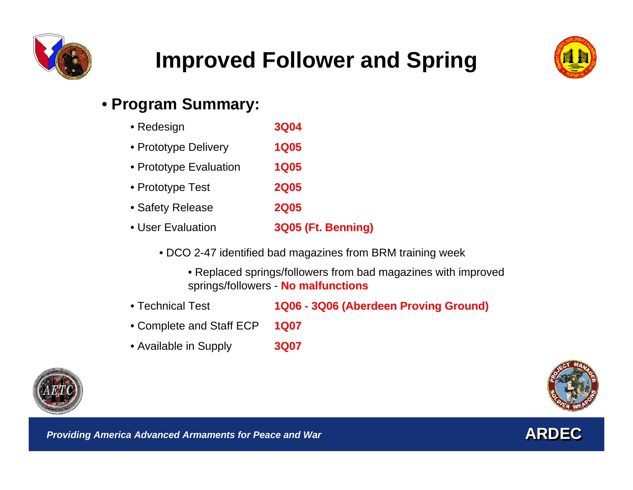

## **Improved Follower and Spring**



#### • **Program Summary:**

- Redesign **3Q04**  • Prototype Delivery **1Q05** • Prototype Evaluation **1Q05** • Prototype Test **2Q05** • Safety Release **2Q05** • User Evaluation **3Q05 (Ft. Benning)**
	- DCO 2-47 identified bad magazines from BRM training week
		- Replaced springs/followers from bad magazines with improved springs/followers - **No malfunctions**
- Technical Test**1Q06 - 3Q06 (Aberdeen Proving Ground)**
- Complete and Staff ECP **1Q07**
- Available in Supply **3Q07**





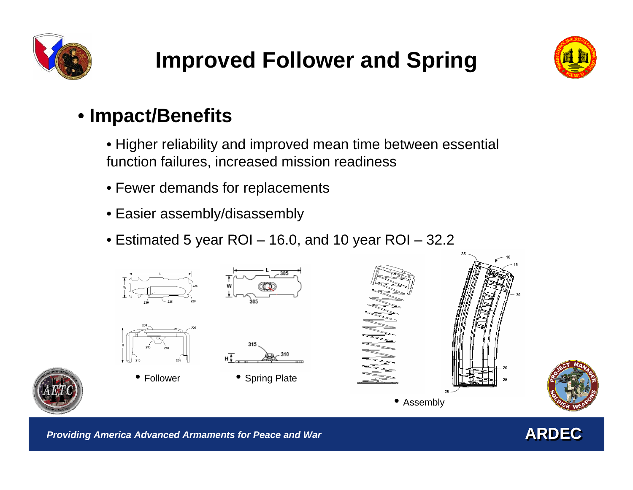



#### • **Impact/Benefits**

• Higher reliability and improved mean time between essential function failures, increased mission readiness

- Fewer demands for replacements
- Easier assembly/disassembly
- Estimated 5 year ROI 16.0, and 10 year ROI 32.2



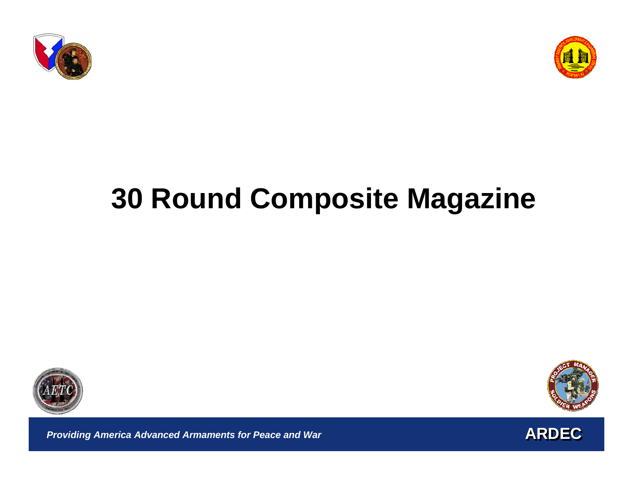







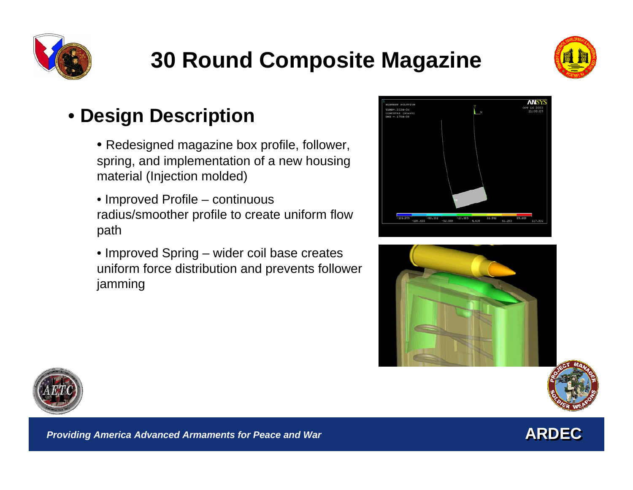



### • **Design Description**

- Redesigned magazine box profile, follower, spring, and implementation of a new housing material (Injection molded)
- Improved Profile continuous radius/smoother profile to create uniform flow path
- Improved Spring wider coil base creates uniform force distribution and prevents follower jamming









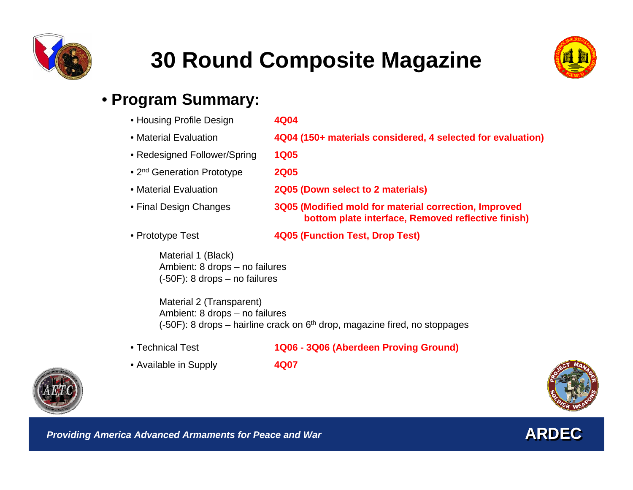



#### • **Program Summary:**

| • Housing Profile Design               | 4Q04                                                                                                        |
|----------------------------------------|-------------------------------------------------------------------------------------------------------------|
| • Material Evaluation                  | 4Q04 (150+ materials considered, 4 selected for evaluation)                                                 |
| • Redesigned Follower/Spring           | <b>1Q05</b>                                                                                                 |
| • 2 <sup>nd</sup> Generation Prototype | <b>2Q05</b>                                                                                                 |
| • Material Evaluation                  | 2Q05 (Down select to 2 materials)                                                                           |
| • Final Design Changes                 | 3Q05 (Modified mold for material correction, Improved<br>bottom plate interface, Removed reflective finish) |
| • Prototype Test                       | 4Q05 (Function Test, Drop Test)                                                                             |
| Mational 4 (Dloch)                     |                                                                                                             |

Material 1 (Black) Ambient: 8 drops – no failures (-50F): 8 drops – no failures

Material 2 (Transparent) Ambient: 8 drops – no failures  $(-50F)$ : 8 drops – hairline crack on  $6<sup>th</sup>$  drop, magazine fired, no stoppages

• Technical Test

- **1Q06 - 3Q06 (Aberdeen Proving Ground)**
- Available in Supply **4Q07**





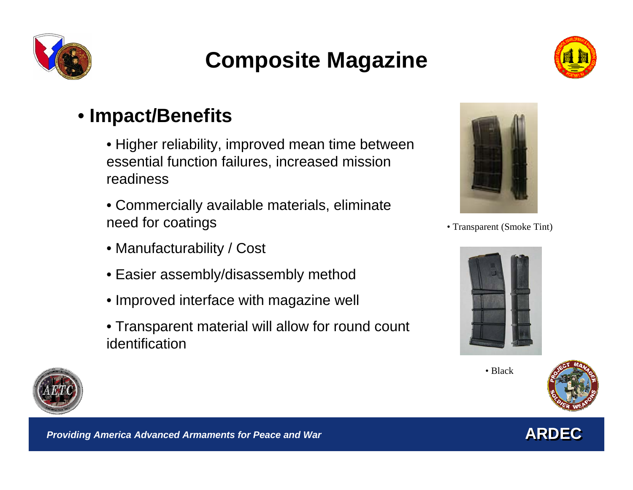

### **Composite Magazine**



### • **Impact/Benefits**

- Higher reliability, improved mean time between essential function failures, increased mission readiness
- Commercially available materials, eliminate need for coatings
- Manufacturability / Cost
- Easier assembly/disassembly method
- Improved interface with magazine well
- Transparent material will allow for round count identification



• Transparent (Smoke Tint)



• Black





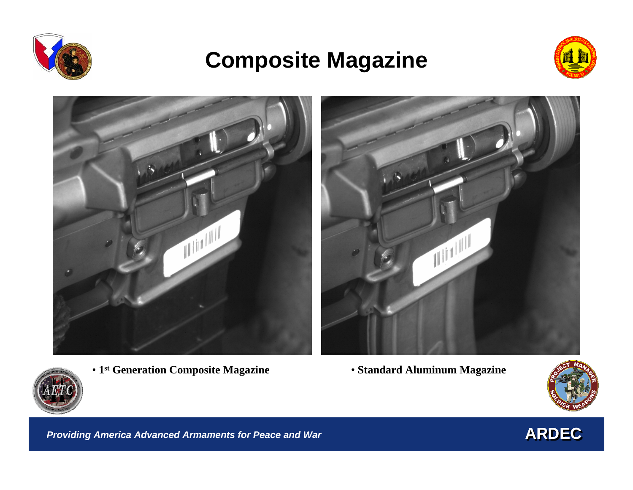

### **Composite Magazine**





- **1st Generation Composite Magazine Standard Aluminum Magazine**
	-



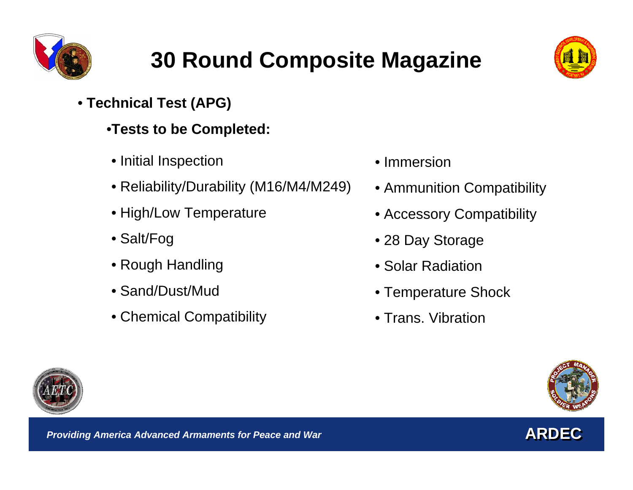



- **Technical Test (APG)** 
	- •**Tests to be Completed:**
	- Initial Inspection
	- Reliability/Durability (M16/M4/M249)
	- High/Low Temperature
	- Salt/Fog
	- Rough Handling
	- Sand/Dust/Mud
	- Chemical Compatibility
- Immersion
- Ammunition Compatibility
- Accessory Compatibility
- 28 Day Storage
- Solar Radiation
- Temperature Shock
- Trans. Vibration





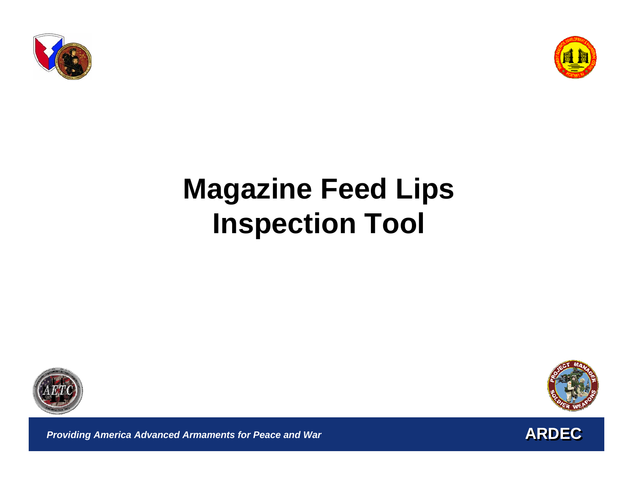



# **Magazine Feed Lips Inspection Tool**





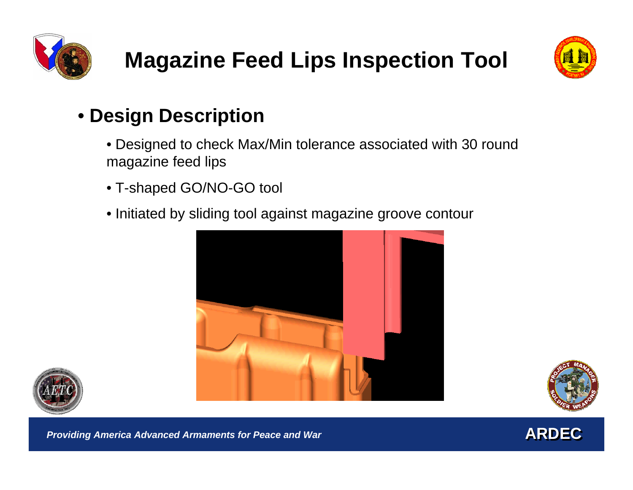



### • **Design Description**

- Designed to check Max/Min tolerance associated with 30 round magazine feed lips
- T-shaped GO/NO-GO tool
- Initiated by sliding tool against magazine groove contour